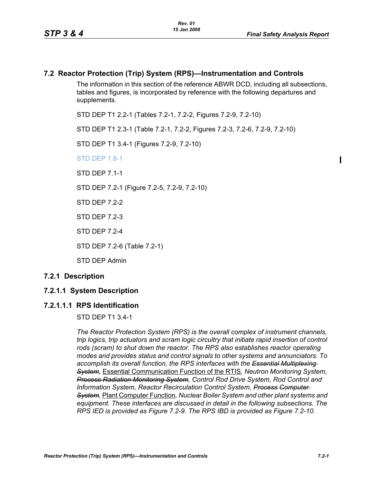## **7.2 Reactor Protection (Trip) System (RPS)—Instrumentation and Controls**

The information in this section of the reference ABWR DCD, including all subsections, tables and figures, is incorporated by reference with the following departures and supplements.

STD DEP T1 2.2-1 (Tables 7.2-1, 7.2-2, Figures 7.2-9, 7.2-10)

STD DEP T1 2.3-1 (Table 7.2-1, 7.2-2, Figures 7.2-3, 7.2-6, 7.2-9, 7.2-10)

STD DEP T1 3.4-1 (Figures 7.2-9, 7.2-10)

STD DEP 1.8-1

STD DFP 7 1-1

STD DEP 7.2-1 (Figure 7.2-5, 7.2-9, 7.2-10)

STD DFP 7 2-2

STD DEP 7.2-3

STD DEP 7.2-4

STD DEP 7.2-6 (Table 7.2-1)

STD DEP Admin

#### **7.2.1 Description**

# **7.2.1.1 System Description**

#### **7.2.1.1.1 RPS Identification**

STD DEP T1 3.4-1

*The Reactor Protection System (RPS) is the overall complex of instrument channels, trip logics, trip actuators and scram logic circuitry that initiate rapid insertion of control rods (scram) to shut down the reactor. The RPS also establishes reactor operating modes and provides status and control signals to other systems and annunciators. To accomplish its overall function, the RPS interfaces with the Essential Multiplexing System,* Essential Communication Function of the RTIS*, Neutron Monitoring System, Process Radiation Monitoring System, Control Rod Drive System, Rod Control and Information System, Reactor Recirculation Control System, Process Computer System,* Plant Computer Function*, Nuclear Boiler System and other plant systems and equipment. These interfaces are discussed in detail in the following subsections. The RPS IED is provided as Figure 7.2-9. The RPS IBD is provided as Figure 7.2-10.*

Π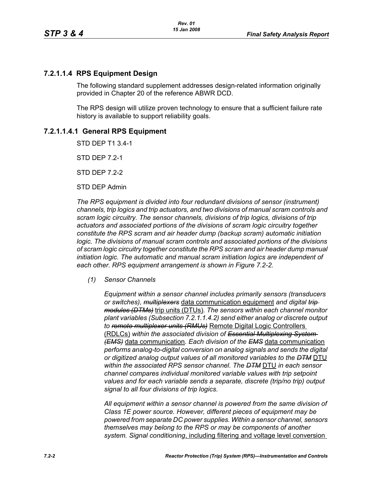# **7.2.1.1.4 RPS Equipment Design**

The following standard supplement addresses design-related information originally provided in Chapter 20 of the reference ABWR DCD.

The RPS design will utilize proven technology to ensure that a sufficient failure rate history is available to support reliability goals.

# **7.2.1.1.4.1 General RPS Equipment**

STD DEP T1 3.4-1

STD DEP 7.2-1

STD DEP 7.2-2

STD DEP Admin

*The RPS equipment is divided into four redundant divisions of sensor (instrument) channels, trip logics and trip actuators, and two divisions of manual scram controls and scram logic circuitry. The sensor channels, divisions of trip logics, divisions of trip actuators and associated portions of the divisions of scram logic circuitry together constitute the RPS scram and air header dump (backup scram) automatic initiation logic. The divisions of manual scram controls and associated portions of the divisions of scram logic circuitry together constitute the RPS scram and air header dump manual initiation logic. The automatic and manual scram initiation logics are independent of each other. RPS equipment arrangement is shown in Figure 7.2-2.*

*(1) Sensor Channels*

*Equipment within a sensor channel includes primarily sensors (transducers or switches), multiplexers* data communication equipment *and digital trip modules (DTMs)* trip units (DTUs)*. The sensors within each channel monitor plant variables (Subsection 7.2.1.1.4.2) send either analog or discrete output to remote multiplexer units (RMUs)* Remote Digital Logic Controllers (RDLCs) *within the associated division of Essential Multiplexing System (EMS)* data communication*. Each division of the EMS* data communication *performs analog-to-digital conversion on analog signals and sends the digital or digitized analog output values of all monitored variables to the DTM* DTU *within the associated RPS sensor channel. The DTM* DTU *in each sensor channel compares individual monitored variable values with trip setpoint values and for each variable sends a separate, discrete (trip/no trip) output signal to all four divisions of trip logics.*

*All equipment within a sensor channel is powered from the same division of Class 1E power source. However, different pieces of equipment may be powered from separate DC power supplies. Within a sensor channel, sensors themselves may belong to the RPS or may be components of another system. Signal conditioning*, including filtering and voltage level conversion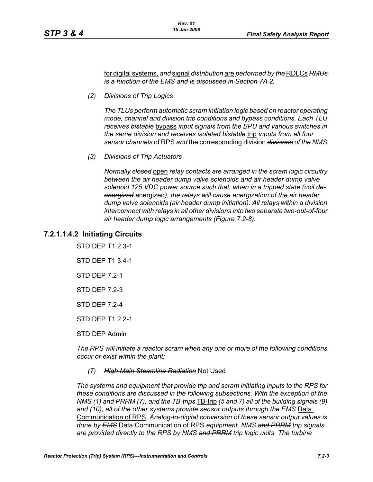for digital systems, *and* signal *distribution* are *performed by the* RDLCs *RMUs is a function of the EMS and is discussed in Section 7A.2.*

*(2) Divisions of Trip Logics*

*The TLUs perform automatic scram initiation logic based on reactor operating mode, channel and division trip conditions and bypass conditions. Each TLU receives bistable* bypass *input signals from the BPU and various switches in the same division and receives isolated bistable* trip *inputs from all four sensor channels* of RPS *and* the corresponding division *divisions of the NMS.*

*(3) Divisions of Trip Actuators*

*Normally closed* open *relay contacts are arranged in the scram logic circuitry between the air header dump valve solenoids and air header dump valve solenoid 125 VDC power source such that, when in a tripped state (coil deenergized* energized*), the relays will cause energization of the air header dump valve solenoids (air header dump initiation). All relays within a division interconnect with relays in all other divisions into two separate two-out-of-four air header dump logic arrangements (Figure 7.2-8).*

# **7.2.1.1.4.2 Initiating Circuits**

STD DEP T1 2.3-1

STD DEP T1 3.4-1

STD DFP 7 2-1

STD DEP 7.2-3

STD DFP 7 2-4

STD DEP T1 2.2-1

STD DEP Admin

*The RPS will initiate a reactor scram when any one or more of the following conditions occur or exist within the plant:*

#### *(7) High Main Steamline Radiation* Not Used

*The systems and equipment that provide trip and scram initiating inputs to the RPS for these conditions are discussed in the following subsections. With the exception of the NMS (1) and PRRM (7), and the TB-trips* TB-trip *(5 and 7) all of the building signals (9) and (10), all of the other systems provide sensor outputs through the EMS* Data Communication of RPS*. Analog-to-digital conversion of these sensor output values is done by EMS* Data Communication of RPS *equipment. NMS and PRRM trip signals are provided directly to the RPS by NMS and PRRM trip logic units. The turbine*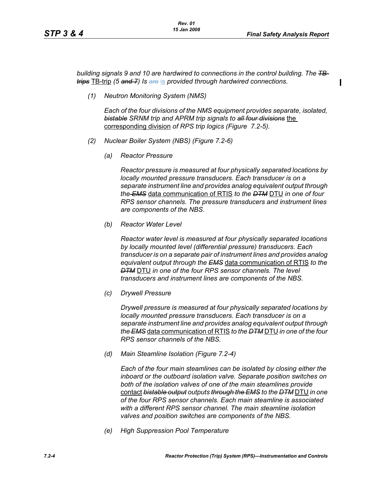П

*building signals 9 and 10 are hardwired to connections in the control building. The TBtrips* TB-trip *(5 and 7) Is are* is *provided through hardwired connections.*

*(1) Neutron Monitoring System (NMS)*

*Each of the four divisions of the NMS equipment provides separate, isolated, bistable SRNM trip and APRM trip signals to all four divisions* the corresponding division *of RPS trip logics (Figure 7.2-5).*

- *(2) Nuclear Boiler System (NBS) (Figure 7.2-6)*
	- *(a) Reactor Pressure*

*Reactor pressure is measured at four physically separated locations by locally mounted pressure transducers. Each transducer is on a separate instrument line and provides analog equivalent output through the EMS* data communication of RTIS *to the DTM* DTU *in one of four RPS sensor channels. The pressure transducers and instrument lines are components of the NBS.*

*(b) Reactor Water Level*

*Reactor water level is measured at four physically separated locations by locally mounted level (differential pressure) transducers. Each transducer is on a separate pair of instrument lines and provides analog equivalent output through the EMS* data communication of RTIS *to the DTM* DTU *in one of the four RPS sensor channels. The level transducers and instrument lines are components of the NBS.*

*(c) Drywell Pressure*

*Drywell pressure is measured at four physically separated locations by locally mounted pressure transducers. Each transducer is on a separate instrument line and provides analog equivalent output through the EMS* data communication of RTIS *to the DTM* DTU *in one of the four RPS sensor channels of the NBS.*

*(d) Main Steamline Isolation (Figure 7.2-4)*

*Each of the four main steamlines can be isolated by closing either the inboard or the outboard isolation valve. Separate position switches on both of the isolation valves of one of the main steamlines provide*  contact *bistable output outputs through the EMS to the DTM* DTU *in one of the four RPS sensor channels. Each main steamline is associated with a different RPS sensor channel. The main steamline isolation valves and position switches are components of the NBS.*

*(e) High Suppression Pool Temperature*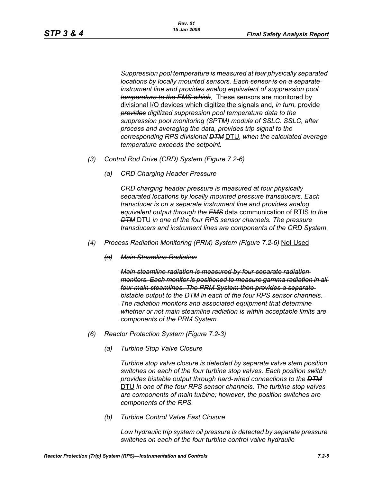*Suppression pool temperature is measured at four physically separated locations by locally mounted sensors. Each sensor is on a separate instrument line and provides analog equivalent of suppression pool temperature to the EMS which,* These sensors are monitored by divisional I/O devices which digitize the signals and*, in turn,* provide *provides digitized suppression pool temperature data to the suppression pool monitoring (SPTM) module of SSLC. SSLC, after process and averaging the data, provides trip signal to the corresponding RPS divisional DTM* DTU*, when the calculated average temperature exceeds the setpoint.*

- *(3) Control Rod Drive (CRD) System (Figure 7.2-6)*
	- *(a) CRD Charging Header Pressure*

*CRD charging header pressure is measured at four physically separated locations by locally mounted pressure transducers. Each transducer is on a separate instrument line and provides analog equivalent output through the EMS* data communication of RTIS *to the DTM* DTU *in one of the four RPS sensor channels. The pressure transducers and instrument lines are components of the CRD System.*

- *(4) Process Radiation Monitoring (PRM) System (Figure 7.2-6)* Not Used
	- *(a) Main Steamline Radiation*

*Main steamline radiation is measured by four separate radiation monitors. Each monitor is positioned to measure gamma radiation in all four main steamlines. The PRM System then provides a separate bistable output to the DTM in each of the four RPS sensor channels. The radiation monitors and associated equipment that determine whether or not main steamline radiation is within acceptable limits are components of the PRM System.*

- *(6) Reactor Protection System (Figure 7.2-3)*
	- *(a) Turbine Stop Valve Closure*

*Turbine stop valve closure is detected by separate valve stem position switches on each of the four turbine stop valves. Each position switch provides bistable output through hard-wired connections to the DTM* DTU *in one of the four RPS sensor channels. The turbine stop valves are components of main turbine; however, the position switches are components of the RPS.*

*(b) Turbine Control Valve Fast Closure*

*Low hydraulic trip system oil pressure is detected by separate pressure switches on each of the four turbine control valve hydraulic*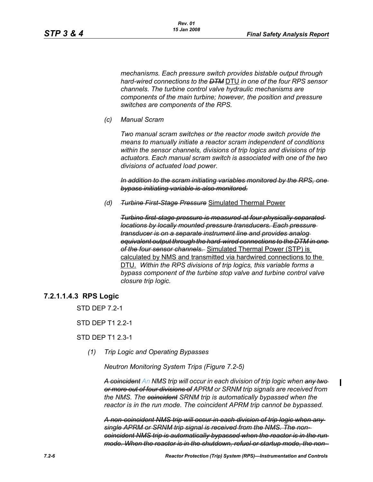*mechanisms. Each pressure switch provides bistable output through hard-wired connections to the DTM* DTU *in one of the four RPS sensor channels. The turbine control valve hydraulic mechanisms are components of the main turbine; however, the position and pressure switches are components of the RPS.*

*(c) Manual Scram*

*Two manual scram switches or the reactor mode switch provide the means to manually initiate a reactor scram independent of conditions within the sensor channels, divisions of trip logics and divisions of trip actuators. Each manual scram switch is associated with one of the two divisions of actuated load power.* 

In addition to the scram initiating variables monitored by the RPS, *bypass initiating variable is also monitored.*

*(d) Turbine First-Stage Pressure* Simulated Thermal Power

*Turbine first-stage pressure is measured at four physically separated locations by locally mounted pressure transducers. Each pressure transducer is on a separate instrument line and provides analog equivalent output through the hard-wired connections to the DTM in one of the four sensor channels.* Simulated Thermal Power (STP) is calculated by NMS and transmitted via hardwired connections to the DTU. *Within the RPS divisions of trip logics, this variable forms a bypass component of the turbine stop valve and turbine control valve closure trip logic.*

# **7.2.1.1.4.3 RPS Logic**

STD DFP 7 2-1

STD DFP T1 2 2-1

STD DEP T1 2.3-1

*(1) Trip Logic and Operating Bypasses*

*Neutron Monitoring System Trips (Figure 7.2-5)*

*A coincident An NMS trip will occur in each division of trip logic when any two or more out of four divisions of APRM or SRNM trip signals are received from the NMS. The coincident SRNM trip is automatically bypassed when the reactor is in the run mode. The coincident APRM trip cannot be bypassed.*

*A non-coincident NMS trip will occur in each division of trip logic when any single APRM or SRNM trip signal is received from the NMS. The noncoincident NMS trip is automatically bypassed when the reactor is in the run mode. When the reactor is in the shutdown, refuel or startup mode, the non-*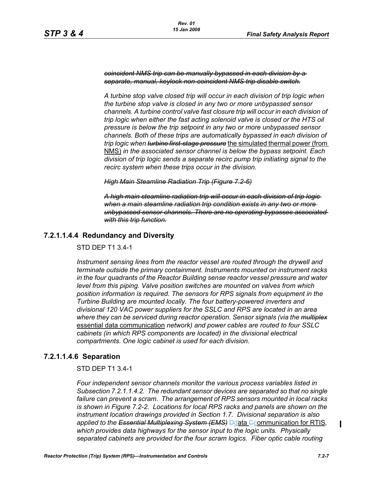*coincident NMS trip can be manually bypassed in each division by a separate, manual, keylock non-coincident NMS trip disable switch.*

*A turbine stop valve closed trip will occur in each division of trip logic when the turbine stop valve is closed in any two or more unbypassed sensor channels. A turbine control valve fast closure trip will occur in each division of trip logic when either the fast acting solenoid valve is closed or the HTS oil pressure is below the trip setpoint in any two or more unbypassed sensor channels. Both of these trips are automatically bypassed in each division of trip logic when turbine first-stage pressure* the simulated thermal power (from NMS) *in the associated sensor channel is below the bypass setpoint. Each division of trip logic sends a separate recirc pump trip initiating signal to the recirc system when these trips occur in the division.*

#### *High Main Steamline Radiation Trip (Figure 7.2-6)*

*A high main steamline radiation trip will occur in each division of trip logic when a main steamline radiation trip condition exists in any two or more unbypassed sensor channels. There are no operating bypasses associated with this trip function.*

# **7.2.1.1.4.4 Redundancy and Diversity**

STD DEP T1 3.4-1

*Instrument sensing lines from the reactor vessel are routed through the drywell and terminate outside the primary containment. Instruments mounted on instrument racks in the four quadrants of the Reactor Building sense reactor vessel pressure and water level from this piping. Valve position switches are mounted on valves from which position information is required. The sensors for RPS signals from equipment in the Turbine Building are mounted locally. The four battery-powered inverters and divisional 120 VAC power suppliers for the SSLC and RPS are located in an area where they can be serviced during reactor operation. Sensor signals (via the multiplex* essential data communication *network) and power cables are routed to four SSLC cabinets (in which RPS components are located) in the divisional electrical compartments. One logic cabinet is used for each division.*

### **7.2.1.1.4.6 Separation**

STD DEP T1 3.4-1

*Four independent sensor channels monitor the various process variables listed in Subsection 7.2.1.1.4.2. The redundant sensor devices are separated so that no single failure can prevent a scram. The arrangement of RPS sensors mounted in local racks is shown in Figure 7.2-2. Locations for local RPS racks and panels are shown on the instrument location drawings provided in Section 1.7. Divisional separation is also applied to the Essential Multiplexing System (EMS)* Ddata Ccommunication for RTIS*, which provides data highways for the sensor input to the logic units. Physically separated cabinets are provided for the four scram logics. Fiber optic cable routing* 

 $\blacksquare$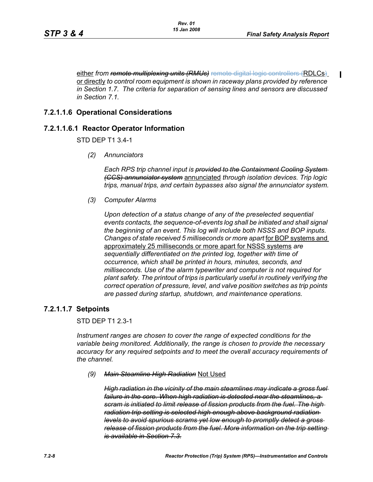either *from remote multiplexing units (RMUs)* remote digital logic controllers (RDLCs) or directly *to control room equipment is shown in raceway plans provided by reference in Section 1.7. The criteria for separation of sensing lines and sensors are discussed in Section 7.1.*

## **7.2.1.1.6 Operational Considerations**

### **7.2.1.1.6.1 Reactor Operator Information**

STD DEP T1 3.4-1

*(2) Annunciators*

*Each RPS trip channel input is provided to the Containment Cooling System (CCS) annunciator system* annunciated *through isolation devices. Trip logic trips, manual trips, and certain bypasses also signal the annunciator system.*

*(3) Computer Alarms*

*Upon detection of a status change of any of the preselected sequential events contacts, the sequence-of-events log shall be initiated and shall signal the beginning of an event. This log will include both NSSS and BOP inputs. Changes of state received 5 milliseconds or more apart* for BOP systems and approximately 25 milliseconds or more apart for NSSS systems *are sequentially differentiated on the printed log, together with time of occurrence, which shall be printed in hours, minutes, seconds, and milliseconds. Use of the alarm typewriter and computer is not required for plant safety. The printout of trips is particularly useful in routinely verifying the correct operation of pressure, level, and valve position switches as trip points are passed during startup, shutdown, and maintenance operations.*

#### **7.2.1.1.7 Setpoints**

STD DEP T1 2.3-1

*Instrument ranges are chosen to cover the range of expected conditions for the variable being monitored. Additionally, the range is chosen to provide the necessary accuracy for any required setpoints and to meet the overall accuracy requirements of the channel.*

*(9) Main Steamline High Radiation* Not Used

*High radiation in the vicinity of the main steamlines may indicate a gross fuel failure in the core. When high radiation is detected near the steamlines, a scram is initiated to limit release of fission products from the fuel. The high radiation trip setting is selected high enough above background radiation levels to avoid spurious scrams yet low enough to promptly detect a gross release of fission products from the fuel. More information on the trip setting is available in Section 7.3.*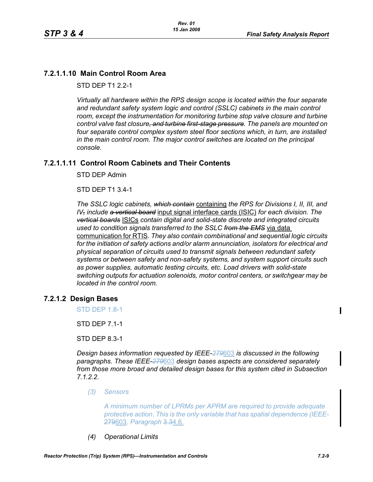# **7.2.1.1.10 Main Control Room Area**

STD DFP T1 2 2-1

*Virtually all hardware within the RPS design scope is located within the four separate and redundant safety system logic and control (SSLC) cabinets in the main control room, except the instrumentation for monitoring turbine stop valve closure and turbine control valve fast closure, and turbine first-stage pressure. The panels are mounted on four separate control complex system steel floor sections which, in turn, are installed in the main control room. The major control switches are located on the principal console.*

# **7.2.1.1.11 Control Room Cabinets and Their Contents**

STD DEP Admin

STD DEP T1 3.4-1

*The SSLC logic cabinets, which contain* containing *the RPS for Divisions I, II, III, and IV, include a vertical board* input signal interface cards (ISIC) *for each division. The vertical boards* ISICs *contain digital and solid-state discrete and integrated circuits used to condition signals transferred to the SSLC from the EMS* via data communication for RTIS*. They also contain combinational and sequential logic circuits for the initiation of safety actions and/or alarm annunciation, isolators for electrical and physical separation of circuits used to transmit signals between redundant safety systems or between safety and non-safety systems, and system support circuits such as power supplies, automatic testing circuits, etc. Load drivers with solid-state switching outputs for actuation solenoids, motor control centers, or switchgear may be located in the control room.*

# **7.2.1.2 Design Bases**

STD DEP 1.8-1

STD DEP 7.1-1

STD DEP 8.3-1

*Design bases information requested by IEEE-279*603 *is discussed in the following paragraphs. These IEEE-279*603 *design bases aspects are considered separately from those more broad and detailed design bases for this system cited in Subsection 7.1.2.2.*

*(3) Sensors*

*A minimum number of LPRMs per APRM are required to provide adequate protective action. This is the only variable that has spatial dependence (IEEE-*279603*, Paragraph* 3.34.6.

*(4) Operational Limits*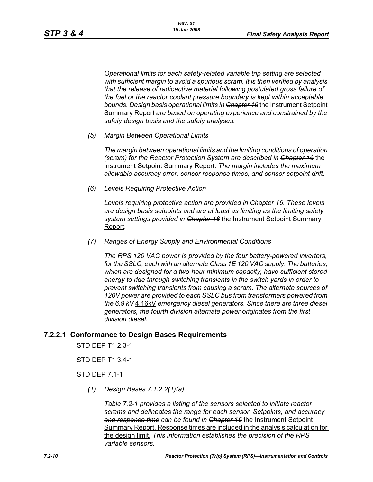*Operational limits for each safety-related variable trip setting are selected with sufficient margin to avoid a spurious scram. It is then verified by analysis that the release of radioactive material following postulated gross failure of the fuel or the reactor coolant pressure boundary is kept within acceptable bounds. Design basis operational limits in Chapter 16* the Instrument Setpoint Summary Report *are based on operating experience and constrained by the safety design basis and the safety analyses.*

*(5) Margin Between Operational Limits*

*The margin between operational limits and the limiting conditions of operation (scram) for the Reactor Protection System are described in Chapter 16* the Instrument Setpoint Summary Report*. The margin includes the maximum allowable accuracy error, sensor response times, and sensor setpoint drift.*

*(6) Levels Requiring Protective Action*

*Levels requiring protective action are provided in Chapter 16. These levels are design basis setpoints and are at least as limiting as the limiting safety system settings provided in Chapter 16* the Instrument Setpoint Summary Report*.*

*(7) Ranges of Energy Supply and Environmental Conditions*

*The RPS 120 VAC power is provided by the four battery-powered inverters, for the SSLC, each with an alternate Class 1E 120 VAC supply. The batteries, which are designed for a two-hour minimum capacity, have sufficient stored energy to ride through switching transients in the switch yards in order to prevent switching transients from causing a scram. The alternate sources of 120V power are provided to each SSLC bus from transformers powered from the 6.9 kV* 4.16kV *emergency diesel generators. Since there are three diesel generators, the fourth division alternate power originates from the first division diesel.*

### **7.2.2.1 Conformance to Design Bases Requirements**

STD DEP T1 2.3-1

STD DEP T1 3.4-1

STD DEP 7.1-1

*(1) Design Bases 7.1.2.2(1)(a)*

*Table 7.2-1 provides a listing of the sensors selected to initiate reactor scrams and delineates the range for each sensor. Setpoints, and accuracy and response time can be found in Chapter 16* the Instrument Setpoint Summary Report. Response times are included in the analysis calculation for the design limit. *This information establishes the precision of the RPS variable sensors.*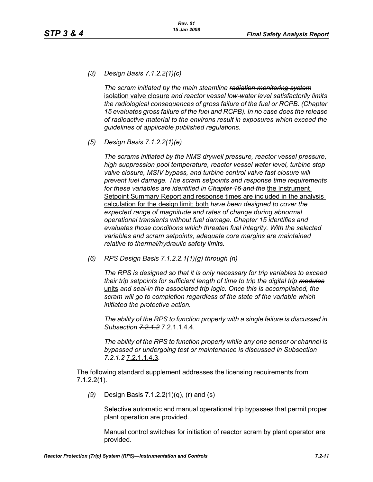*(3) Design Basis 7.1.2.2(1)(c)*

*The scram initiated by the main steamline radiation monitoring system* isolation valve closure *and reactor vessel low-water level satisfactorily limits the radiological consequences of gross failure of the fuel or RCPB. (Chapter 15 evaluates gross failure of the fuel and RCPB). In no case does the release of radioactive material to the environs result in exposures which exceed the guidelines of applicable published regulations.*

*(5) Design Basis 7.1.2.2(1)(e)* 

*The scrams initiated by the NMS drywell pressure, reactor vessel pressure, high suppression pool temperature, reactor vessel water level, turbine stop valve closure, MSIV bypass, and turbine control valve fast closure will prevent fuel damage. The scram setpoints and response time requirements* for these variables are identified in Chapter 16 and the the Instrument Setpoint Summary Report and response times are included in the analysis calculation for the design limit; both *have been designed to cover the expected range of magnitude and rates of change during abnormal operational transients without fuel damage. Chapter 15 identifies and evaluates those conditions which threaten fuel integrity. With the selected variables and scram setpoints, adequate core margins are maintained relative to thermal/hydraulic safety limits.*

*(6) RPS Design Basis 7.1.2.2.1(1)(g) through (n)* 

*The RPS is designed so that it is only necessary for trip variables to exceed their trip setpoints for sufficient length of time to trip the digital trip modules* units *and seal-in the associated trip logic. Once this is accomplished, the scram will go to completion regardless of the state of the variable which initiated the protective action.*

*The ability of the RPS to function properly with a single failure is discussed in Subsection 7.2.1.2* 7.2.1.1.4.4*.*

*The ability of the RPS to function properly while any one sensor or channel is bypassed or undergoing test or maintenance is discussed in Subsection 7.2.1.2* 7.2.1.1.4.3*.*

The following standard supplement addresses the licensing requirements from 7.1.2.2(1).

*(9)* Design Basis 7.1.2.2(1)(q), (r) and (s)

Selective automatic and manual operational trip bypasses that permit proper plant operation are provided.

Manual control switches for initiation of reactor scram by plant operator are provided.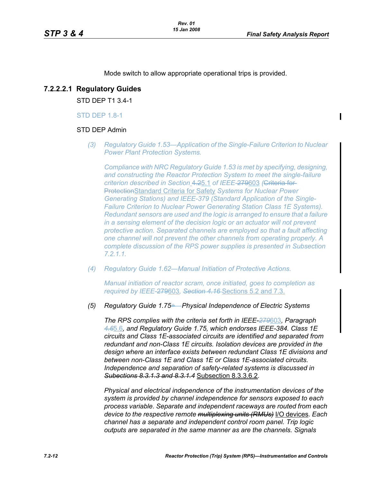Mode switch to allow appropriate operational trips is provided.

## **7.2.2.2.1 Regulatory Guides**

STD DEP T1 3.4-1

#### STD DEP 1.8-1

#### STD DEP Admin

*(3) Regulatory Guide 1.53—Application of the Single-Failure Criterion to Nuclear Power Plant Protection Systems.*

*Compliance with NRC Regulatory Guide 1.53 is met by specifying, designing, and constructing the Reactor Protection System to meet the single-failure criterion described in Section* 4.25.1 *of IEEE-*279603 *(*Criteria for ProtectionStandard Criteria for Safety *Systems for Nuclear Power Generating Stations) and IEEE-379 (Standard Application of the Single-Failure Criterion to Nuclear Power Generating Station Class 1E Systems). Redundant sensors are used and the logic is arranged to ensure that a failure in a sensing element of the decision logic or an actuator will not prevent protective action. Separated channels are employed so that a fault affecting one channel will not prevent the other channels from operating properly. A complete discussion of the RPS power supplies is presented in Subsection 7.2.1.1.*

*(4) Regulatory Guide 1.62—Manual Initiation of Protective Actions.*

*Manual initiation of reactor scram, once initiated, goes to completion as required by IEEE-*279603*, Section 4.16* Sections 5.2 and 7.3.

*(5) Regulatory Guide 1.75*÷*—Physical Independence of Electric Systems*

*The RPS complies with the criteria set forth in IEEE-279*603*, Paragraph 4.6*5.6*, and Regulatory Guide 1.75, which endorses IEEE-384. Class 1E circuits and Class 1E-associated circuits are identified and separated from redundant and non-Class 1E circuits. Isolation devices are provided in the design where an interface exists between redundant Class 1E divisions and between non-Class 1E and Class 1E or Class 1E-associated circuits. Independence and separation of safety-related systems is discussed in Subections 8.3.1.3 and 8.3.1.4* Subsection 8.3.3.6.2*.*

*Physical and electrical independence of the instrumentation devices of the system is provided by channel independence for sensors exposed to each process variable. Separate and independent raceways are routed from each device to the respective remote multiplexing units (RMUs)* I/O devices*. Each channel has a separate and independent control room panel. Trip logic outputs are separated in the same manner as are the channels. Signals*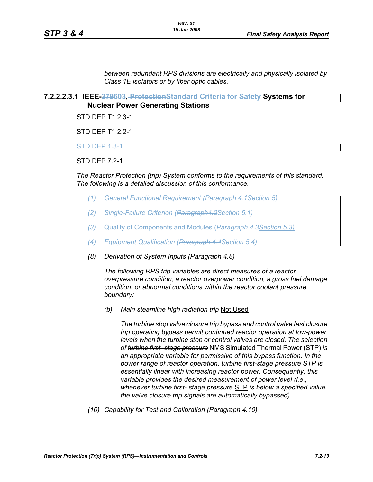$\mathbf I$ 

*between redundant RPS divisions are electrically and physically isolated by Class 1E isolators or by fiber optic cables.*

# **7.2.2.2.3.1 IEEE-279603, ProtectionStandard Criteria for Safety Systems for**

**Nuclear Power Generating Stations**

STD DEP T1 2.3-1

STD DEP T1 2.2-1

STD DEP 1.8-1

STD DEP 7.2-1

*The Reactor Protection (trip) System conforms to the requirements of this standard. The following is a detailed discussion of this conformance.*

- *(1) General Functional Requirement (Paragraph 4.1Section 5)*
- *(2) Single-Failure Criterion (Paragraph4.2Section 5.1)*
- *(3)* Quality of Components and Modules (*Paragraph 4.3Section 5.3)*
- *(4) Equipment Qualification (Paragraph 4.4Section 5.4)*
- *(8) Derivation of System Inputs (Paragraph 4.8)*

*The following RPS trip variables are direct measures of a reactor overpressure condition, a reactor overpower condition, a gross fuel damage condition, or abnormal conditions within the reactor coolant pressure boundary:*

*(b) Main steamline high radiation trip* Not Used

*The turbine stop valve closure trip bypass and control valve fast closure trip operating bypass permit continued reactor operation at low-power levels when the turbine stop or control valves are closed. The selection of turbine first- stage pressure* NMS Simulated Thermal Power (STP) *is an appropriate variable for permissive of this bypass function. In the power range of reactor operation, turbine first-stage pressure STP is essentially linear with increasing reactor power. Consequently, this variable provides the desired measurement of power level (i.e., whenever turbine first- stage pressure* STP *is below a specified value, the valve closure trip signals are automatically bypassed).*

*(10) Capability for Test and Calibration (Paragraph 4.10)*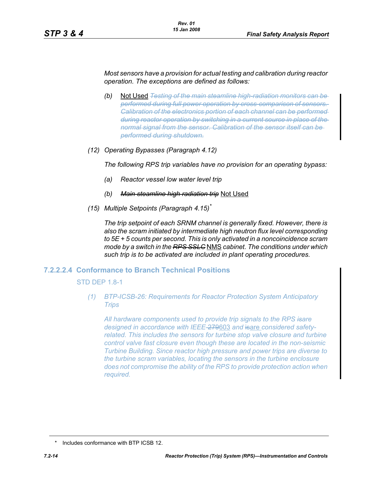*Most sensors have a provision for actual testing and calibration during reactor operation. The exceptions are defined as follows:*

- *(b)* Not Used *Testing of the main steamline high-radiation monitors can be performed during full power operation by cross-comparison of sensors. Calibration of the electronics portion of each channel can be performed during reactor operation by switching in a current source in place of the normal signal from the sensor. Calibration of the sensor itself can be performed during shutdown.*
- *(12) Operating Bypasses (Paragraph 4.12)*

*The following RPS trip variables have no provision for an operating bypass:*

- *(a) Reactor vessel low water level trip*
- *(b) Main steamline high radiation trip* Not Used
- *(15) Multiple Setpoints (Paragraph 4.15)\**

*The trip setpoint of each SRNM channel is generally fixed. However, there is also the scram initiated by intermediate high neutron flux level corresponding to 5E + 5 counts per second. This is only activated in a noncoincidence scram mode by a switch in the RPS SSLC* NMS *cabinet. The conditions under which such trip is to be activated are included in plant operating procedures.*

#### **7.2.2.2.4 Conformance to Branch Technical Positions**

STD DEP 1.8-1

*(1) BTP-ICSB-26: Requirements for Reactor Protection System Anticipatory Trips*

*All hardware components used to provide trip signals to the RPS isare designed in accordance with IEEE-*279603 *and* isare *considered safetyrelated. This includes the sensors for turbine stop valve closure and turbine control valve fast closure even though these are located in the non-seismic Turbine Building. Since reactor high pressure and power trips are diverse to the turbine scram variables, locating the sensors in the turbine enclosure does not compromise the ability of the RPS to provide protection action when required.*

<sup>\*</sup> Includes conformance with BTP ICSB 12.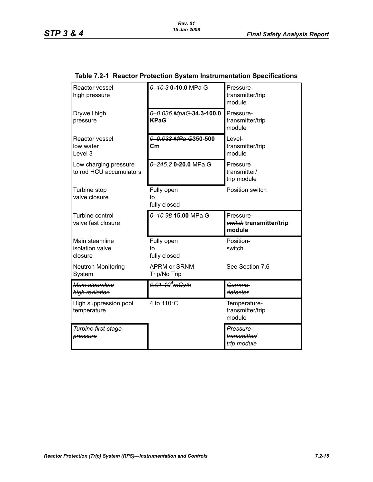| Reactor vessel<br>high pressure                  | 0 10.3 0-10.0 MPa G                 | Pressure-<br>transmitter/trip<br>module        |
|--------------------------------------------------|-------------------------------------|------------------------------------------------|
| Drywell high<br>pressure                         | 0 0.036 MpaG-34.3-100.0<br>KPaG     | Pressure-<br>transmitter/trip<br>module        |
| Reactor vessel<br>low water<br>Level 3           | 0 0.033 MPa G350-500<br>Cm          | Level-<br>transmitter/trip<br>module           |
| Low charging pressure<br>to rod HCU accumulators | 0 245.20-20.0 MPa G                 | Pressure<br>transmitter/<br>trip module        |
| Turbine stop<br>valve closure                    | Fully open<br>to<br>fully closed    | Position switch                                |
| Turbine control<br>valve fast closure            | 0-10.98-15.00 MPa G                 | Pressure-<br>switch transmitter/trip<br>module |
| Main steamline<br>isolation valve<br>closure     | Fully open<br>to<br>fully closed    | Position-<br>switch                            |
| <b>Neutron Monitoring</b><br>System              | <b>APRM or SRNM</b><br>Trip/No Trip | See Section 7.6                                |
| Main steamline<br>high radiation                 | <del>0.01-10<sup>4</sup>mGy/h</del> | <del>Gamma</del><br>detector                   |
| High suppression pool<br>temperature             | 4 to 110°C                          | Temperature-<br>transmitter/trip<br>module     |
| Turbine first-stage                              |                                     | Pressure-                                      |

#### **Table 7.2-1 Reactor Protection System Instrumentation Specifications**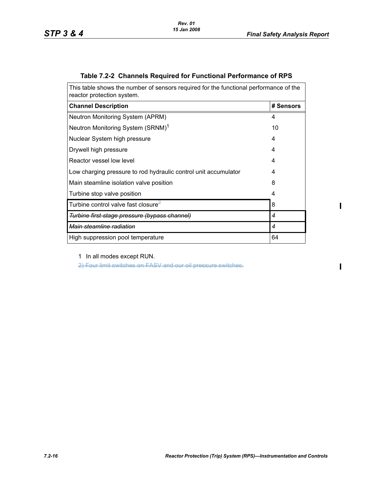$\mathbf{I}$ 

 $\mathbf I$ 

| This table shows the number of sensors required for the functional performance of the<br>reactor protection system. |           |  |
|---------------------------------------------------------------------------------------------------------------------|-----------|--|
| <b>Channel Description</b>                                                                                          | # Sensors |  |
| Neutron Monitoring System (APRM)                                                                                    | 4         |  |
| Neutron Monitoring System (SRNM) <sup>1</sup>                                                                       | 10        |  |
| Nuclear System high pressure                                                                                        | 4         |  |
| Drywell high pressure                                                                                               | 4         |  |
| Reactor vessel low level                                                                                            | 4         |  |
| Low charging pressure to rod hydraulic control unit accumulator                                                     | 4         |  |
| Main steamline isolation valve position                                                                             | 8         |  |
| Turbine stop valve position                                                                                         | 4         |  |
| Turbine control valve fast closure $^2$                                                                             | 8         |  |
| <del>Turbine first-stage pressure (bypass channel)</del>                                                            | 4         |  |
| Main steamline radiation                                                                                            | 4         |  |
| High suppression pool temperature                                                                                   | 64        |  |

# **Table 7.2-2 Channels Required for Functional Performance of RPS**

1 In all modes except RUN.

2) Four limit switches on FASV and our oil pressure switches.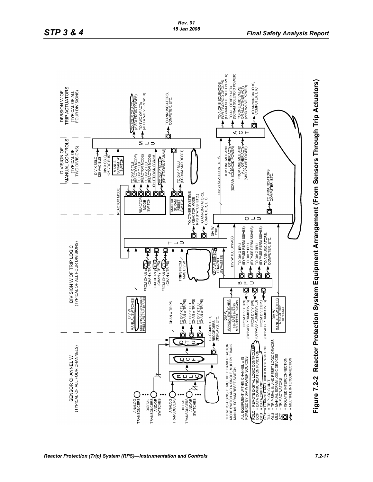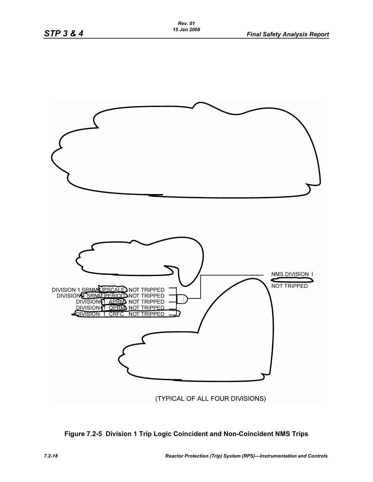

(TYPICAL OF ALL FOUR DIVISIONS)